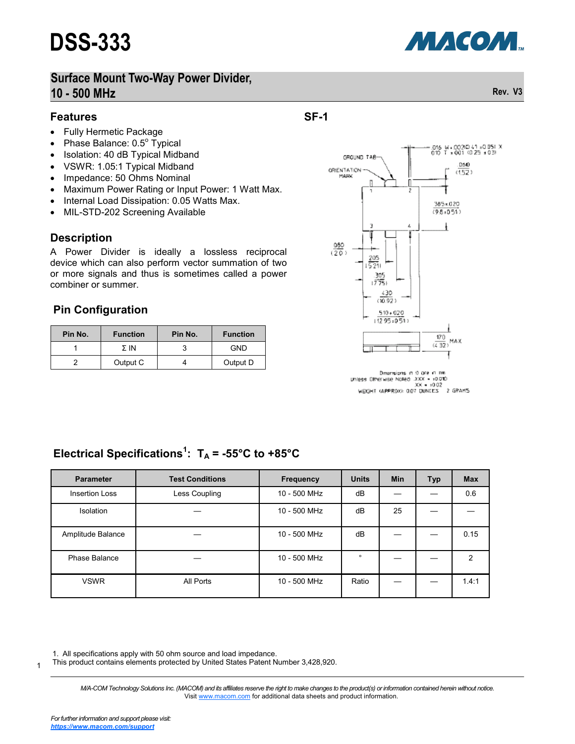

# **Surface Mount Two-Way Power Divider, 10 - 500 MHz Rev. V3**

#### **Features**

- Fully Hermetic Package
- Phase Balance:  $0.5^{\circ}$  Typical
- Isolation: 40 dB Typical Midband
- VSWR: 1.05:1 Typical Midband
- Impedance: 50 Ohms Nominal
- Maximum Power Rating or Input Power: 1 Watt Max.
- Internal Load Dissipation: 0.05 Watts Max.
- MIL-STD-202 Screening Available

### **Description**

A Power Divider is ideally a lossless reciprocal device which can also perform vector summation of two or more signals and thus is sometimes called a power combiner or summer.

### **Pin Configuration**

| Pin No. | <b>Function</b> | Pin No. | <b>Function</b> |  |
|---------|-----------------|---------|-----------------|--|
|         | Σ IN            |         | GND             |  |
|         | Output C        |         | Output D        |  |



**SF-1**

Dramsions in 0 ore in the Driess Offrerwise Noted XXX = 10.010 WEIGHT (APPROX): 0.07 DUNCES 2 GRAMS

# Electrical Specifications<sup>1</sup>:  $T_A = -55^{\circ}C$  to  $+85^{\circ}C$

| <b>Parameter</b>      | <b>Test Conditions</b> | <b>Frequency</b> | <b>Units</b> | <b>Min</b> | <b>Typ</b> | <b>Max</b> |
|-----------------------|------------------------|------------------|--------------|------------|------------|------------|
| <b>Insertion Loss</b> | Less Coupling          | 10 - 500 MHz     | dB           |            |            | 0.6        |
| <b>Isolation</b>      |                        | 10 - 500 MHz     | dB           | 25         |            |            |
| Amplitude Balance     |                        | 10 - 500 MHz     | dB           |            |            | 0.15       |
| Phase Balance         |                        | 10 - 500 MHz     | $\circ$      |            |            | 2          |
| <b>VSWR</b>           | All Ports              | 10 - 500 MHz     | Ratio        |            |            | 1.4:1      |

1. All specifications apply with 50 ohm source and load impedance.

This product contains elements protected by United States Patent Number 3,428,920.

1

*M/A-COM Technology Solutions Inc. (MACOM) and its affiliates reserve the right to make changes to the product(s) or information contained herein without notice.*  Visit [www.macom.com](http://www.macom.com/) for additional data sheets and product information.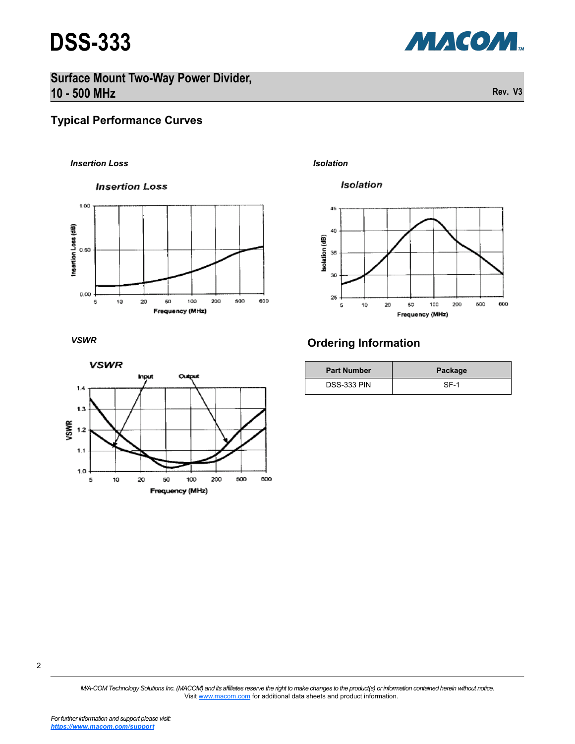

**Surface Mount Two-Way Power Divider, 10 - 500 MHz Rev. V3**

### **Typical Performance Curves**

#### *Insertion Loss Isolation*

**Insertion Loss** 



*VSWR*



#### Isolation



## **Ordering Information**

| <b>Part Number</b> | Package |  |  |
|--------------------|---------|--|--|
| <b>DSS-333 PIN</b> | SF-1    |  |  |

*M/A-COM Technology Solutions Inc. (MACOM) and its affiliates reserve the right to make changes to the product(s) or information contained herein without notice.*  Visit [www.macom.com](http://www.macom.com/) for additional data sheets and product information.